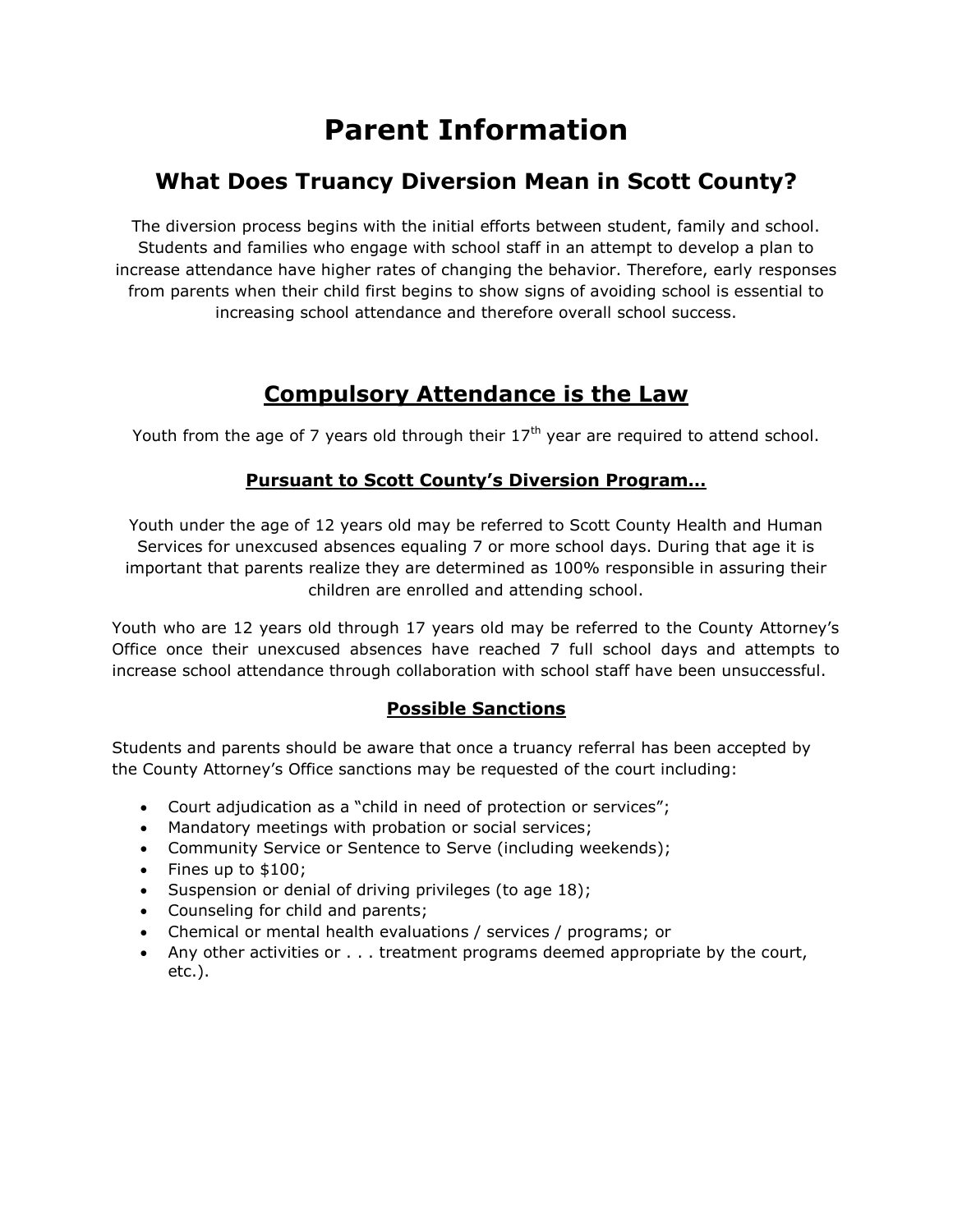# **Parent Information**

## **What Does Truancy Diversion Mean in Scott County?**

The diversion process begins with the initial efforts between student, family and school. Students and families who engage with school staff in an attempt to develop a plan to increase attendance have higher rates of changing the behavior. Therefore, early responses from parents when their child first begins to show signs of avoiding school is essential to increasing school attendance and therefore overall school success.

## **Compulsory Attendance is the Law**

Youth from the age of 7 years old through their  $17<sup>th</sup>$  year are required to attend school.

### **Pursuant to Scott County's Diversion Program…**

Youth under the age of 12 years old may be referred to Scott County Health and Human Services for unexcused absences equaling 7 or more school days. During that age it is important that parents realize they are determined as 100% responsible in assuring their children are enrolled and attending school.

Youth who are 12 years old through 17 years old may be referred to the County Attorney's Office once their unexcused absences have reached 7 full school days and attempts to increase school attendance through collaboration with school staff have been unsuccessful.

### **Possible Sanctions**

Students and parents should be aware that once a truancy referral has been accepted by the County Attorney's Office sanctions may be requested of the court including:

- Court adjudication as a "child in need of protection or services";
- Mandatory meetings with probation or social services;
- Community Service or Sentence to Serve (including weekends);
- $\bullet$  Fines up to \$100;
- Suspension or denial of driving privileges (to age 18);
- Counseling for child and parents;
- Chemical or mental health evaluations / services / programs; or
- Any other activities or . . . treatment programs deemed appropriate by the court, etc.).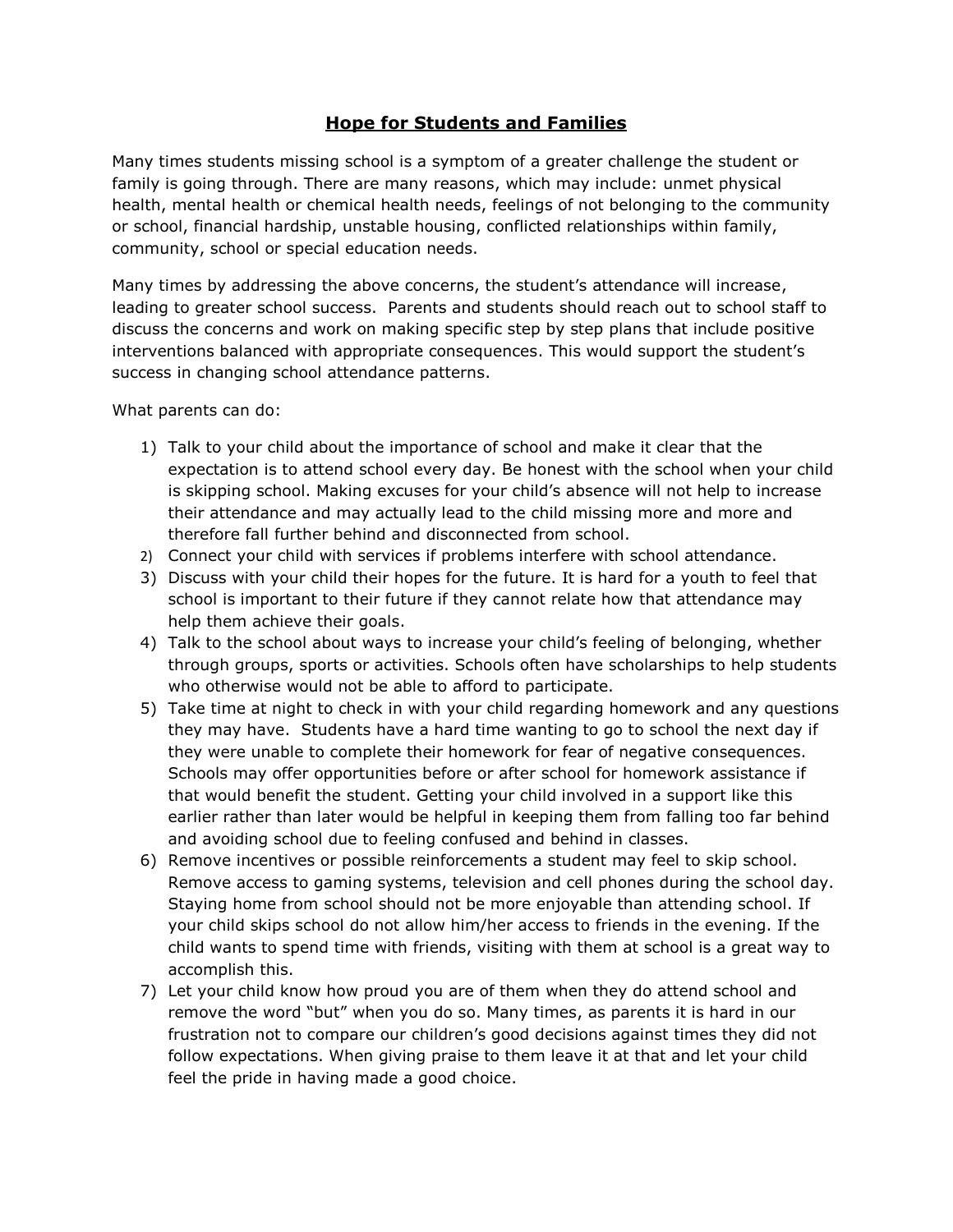#### **Hope for Students and Families**

Many times students missing school is a symptom of a greater challenge the student or family is going through. There are many reasons, which may include: unmet physical health, mental health or chemical health needs, feelings of not belonging to the community or school, financial hardship, unstable housing, conflicted relationships within family, community, school or special education needs.

Many times by addressing the above concerns, the student's attendance will increase, leading to greater school success. Parents and students should reach out to school staff to discuss the concerns and work on making specific step by step plans that include positive interventions balanced with appropriate consequences. This would support the student's success in changing school attendance patterns.

What parents can do:

- 1) Talk to your child about the importance of school and make it clear that the expectation is to attend school every day. Be honest with the school when your child is skipping school. Making excuses for your child's absence will not help to increase their attendance and may actually lead to the child missing more and more and therefore fall further behind and disconnected from school.
- 2) Connect your child with services if problems interfere with school attendance.
- 3) Discuss with your child their hopes for the future. It is hard for a youth to feel that school is important to their future if they cannot relate how that attendance may help them achieve their goals.
- 4) Talk to the school about ways to increase your child's feeling of belonging, whether through groups, sports or activities. Schools often have scholarships to help students who otherwise would not be able to afford to participate.
- 5) Take time at night to check in with your child regarding homework and any questions they may have. Students have a hard time wanting to go to school the next day if they were unable to complete their homework for fear of negative consequences. Schools may offer opportunities before or after school for homework assistance if that would benefit the student. Getting your child involved in a support like this earlier rather than later would be helpful in keeping them from falling too far behind and avoiding school due to feeling confused and behind in classes.
- 6) Remove incentives or possible reinforcements a student may feel to skip school. Remove access to gaming systems, television and cell phones during the school day. Staying home from school should not be more enjoyable than attending school. If your child skips school do not allow him/her access to friends in the evening. If the child wants to spend time with friends, visiting with them at school is a great way to accomplish this.
- 7) Let your child know how proud you are of them when they do attend school and remove the word "but" when you do so. Many times, as parents it is hard in our frustration not to compare our children's good decisions against times they did not follow expectations. When giving praise to them leave it at that and let your child feel the pride in having made a good choice.